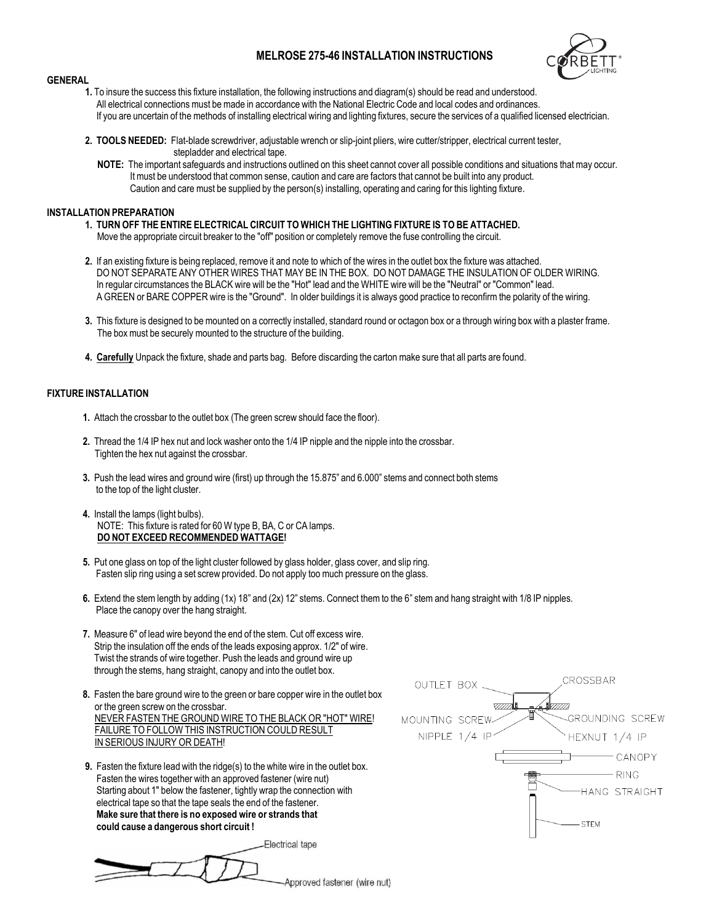## **MELROSE 275-46 INSTALLATION INSTRUCTIONS**



## **GENERAL**

- **1.** To insure the success this fixture installation, the following instructions and diagram(s) should be read and understood. All electrical connections must be made in accordance with the National Electric Code and local codes and ordinances. If you are uncertain of the methods of installing electrical wiring and lighting fixtures, secure the services of a qualified licensed electrician.
- **2. TOOLS NEEDED:** Flat-blade screwdriver, adjustable wrench or slip-joint pliers, wire cutter/stripper, electrical current tester, stepladder and electrical tape.
	- **NOTE:** The important safeguards and instructions outlined on this sheet cannot cover all possible conditions and situations thatmay occur. It must be understood that common sense, caution and care are factors that cannot be built into any product. Caution and care must be supplied by the person(s) installing, operating and caring for this lighting fixture.

## **INSTALLATION PREPARATION**

- **1. TURN OFF THE ENTIRE ELECTRICAL CIRCUIT TO WHICH THE LIGHTING FIXTURE IS TO BE ATTACHED.** Move the appropriate circuit breaker to the "off" position or completely remove the fuse controlling the circuit.
- **2.** If an existing fixture is being replaced, remove it and note to which of the wires in the outlet box the fixture was attached. DO NOT SEPARATE ANY OTHER WIRES THAT MAY BE IN THE BOX. DO NOT DAMAGE THE INSULATION OF OLDER WIRING. In regular circumstances the BLACK wire will be the "Hot" lead and the WHITE wire will be the "Neutral" or "Common" lead. A GREEN or BARE COPPER wire is the "Ground". In older buildings it is always good practice to reconfirm the polarity of the wiring.
- **3.** This fixture is designed to bemounted on a correctly installed, standard round or octagon box or a through wiring box with a plaster frame. The box must be securely mounted to the structure of the building.
- **4. Carefully** Unpack the fixture, shade and parts bag. Before discarding the carton make sure that all parts are found.

## **FIXTURE INSTALLATION**

- **1.** Attach the crossbar to the outlet box (The green screw should face the floor).
- **2.** Thread the 1/4 IP hex nut and lock washer onto the 1/4 IP nipple and the nipple into the crossbar. Tighten the hex nut against the crossbar.
- **3.** Push the lead wires and ground wire (first) up through the 15.875" and 6.000" stems and connect both stems to the top of the light cluster.
- **4.** Install the lamps (light bulbs). NOTE: This fixture is rated for 60 W type B, BA, C or CA lamps. **DO NOT EXCEED RECOMMENDED WATTAGE!**
- **5.** Put one glass on top of the light cluster followed by glass holder, glass cover, and slip ring. Fasten slip ring using a set screw provided. Do not apply too much pressure on the glass.
- **6.** Extend the stem length by adding (1x) 18" and (2x) 12" stems. Connect them to the 6" stem and hang straight with 1/8 IP nipples. Place the canopy over the hang straight.
- **7.** Measure 6" of lead wire beyond the end of the stem. Cut off excess wire. Strip the insulation off the ends of the leads exposing approx. 1/2" of wire. Twist the strands of wire together. Push the leads and ground wire up through the stems, hang straight, canopy and into the outlet box.
- **8.** Fasten the bare ground wire to the green or bare copper wire in the outlet box or the green screw on the crossbar. NEVER FASTEN THE GROUND WIRE TO THE BLACK OR "HOT" WIRE! FAILURE TO FOLLOW THIS INSTRUCTION COULD RESULT IN SERIOUS INJURY OR DEATH!
- **9.** Fasten the fixture lead with the ridge(s) to the white wire in the outlet box. Fasten the wires together with an approved fastener (wire nut) Starting about 1" below the fastener, tightly wrap the connection with electrical tape so that the tape seals the end of the fastener. **Make sure that there is no exposed wire or strands that could cause a dangerous short circuit !**



Electrical tape